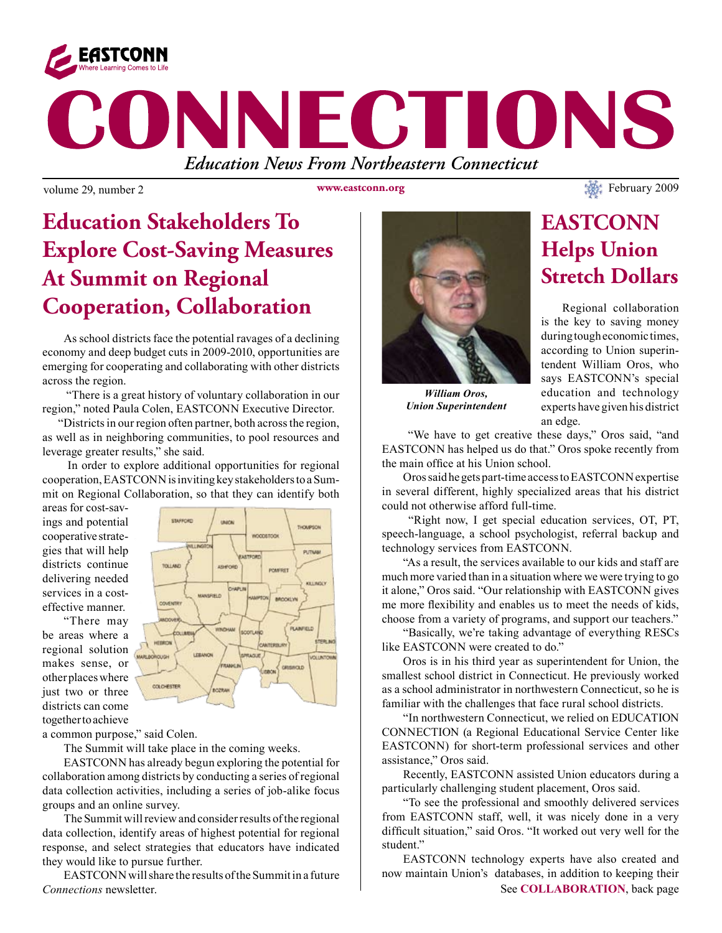

# CONNECTIONS *Education News From Northeastern Connecticut*

**www.eastconn.org**

# **Education Stakeholders To Explore Cost-Saving Measures At Summit on Regional Cooperation, Collaboration**

As school districts face the potential ravages of a declining economy and deep budget cuts in 2009-2010, opportunities are emerging for cooperating and collaborating with other districts across the region.

 "There is a great history of voluntary collaboration in our region," noted Paula Colen, EASTCONN Executive Director.

 "Districts in our region often partner, both across the region, as well as in neighboring communities, to pool resources and leverage greater results," she said.

 In order to explore additional opportunities for regional cooperation, EASTCONN is inviting key stakeholders to a Summit on Regional Collaboration, so that they can identify both

areas for cost-savings and potential cooperative strategies that will help districts continue delivering needed services in a costeffective manner.

"There may be areas where a regional solution makes sense, or other places where just two or three districts can come together to achieve



a common purpose," said Colen.

The Summit will take place in the coming weeks.

EASTCONN has already begun exploring the potential for collaboration among districts by conducting a series of regional data collection activities, including a series of job-alike focus groups and an online survey.

The Summit will review and consider results of the regional data collection, identify areas of highest potential for regional response, and select strategies that educators have indicated they would like to pursue further.

EASTCONN will share the results of the Summit in a future *Connections* newsletter.



*William Oros, Union Superintendent*

#### is the key to saving money during tough economic times, according to Union superintendent William Oros, who says EASTCONN's special education and technology experts have given his district an edge.

**EASTCONN** 

**Helps Union** 

**Stretch Dollars**

Regional collaboration

 "We have to get creative these days," Oros said, "and EASTCONN has helped us do that." Oros spoke recently from the main office at his Union school.

Oros said he gets part-time access to EASTCONN expertise in several different, highly specialized areas that his district could not otherwise afford full-time.

 "Right now, I get special education services, OT, PT, speech-language, a school psychologist, referral backup and technology services from EASTCONN.

"As a result, the services available to our kids and staff are much more varied than in a situation where we were trying to go it alone," Oros said. "Our relationship with EASTCONN gives me more fexibility and enables us to meet the needs of kids, choose from a variety of programs, and support our teachers."

"Basically, we're taking advantage of everything RESCs like EASTCONN were created to do."

Oros is in his third year as superintendent for Union, the smallest school district in Connecticut. He previously worked as a school administrator in northwestern Connecticut, so he is familiar with the challenges that face rural school districts.

"In northwestern Connecticut, we relied on EDUCATION CONNECTION (a Regional Educational Service Center like EASTCONN) for short-term professional services and other assistance," Oros said.

Recently, EASTCONN assisted Union educators during a particularly challenging student placement, Oros said.

"To see the professional and smoothly delivered services from EASTCONN staff, well, it was nicely done in a very diffcult situation," said Oros. "It worked out very well for the student."

See **COLLABORATION**, back page EASTCONN technology experts have also created and now maintain Union's databases, in addition to keeping their

volume 29, number 2 www.eastconn.org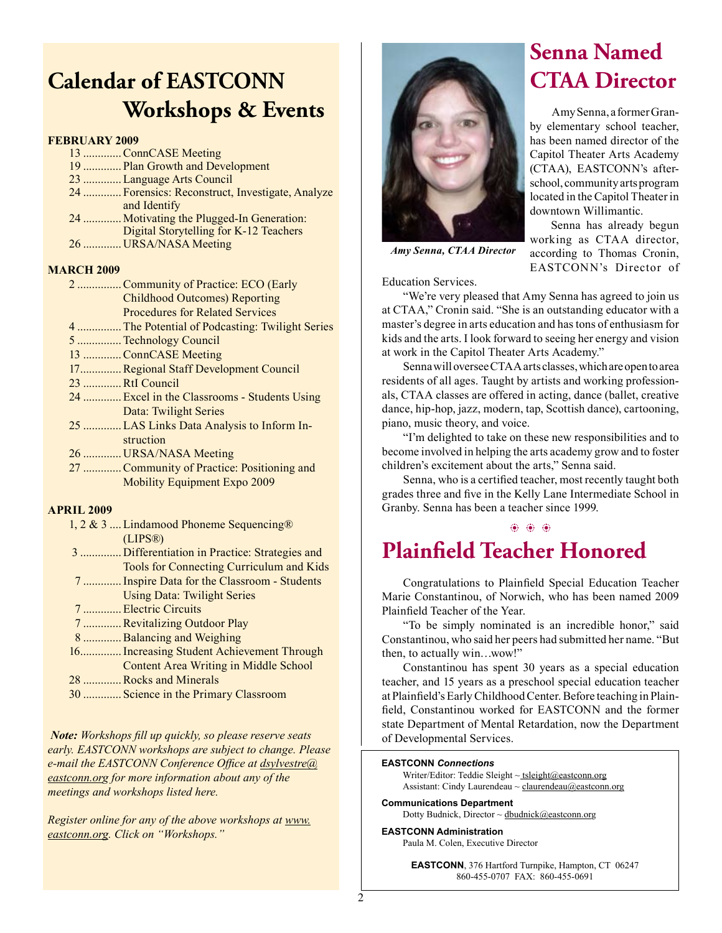### **Calendar of EASTCONN Workshops & Events**

#### **FEBRUARY 2009**

- 13 .............ConnCASE Meeting
- 19 ............. Plan Growth and Development
- 23 .............Language Arts Council
- 24 ............. Forensics: Reconstruct, Investigate, Analyze and Identify
- 24 ............. Motivating the Plugged-In Generation:
- Digital Storytelling for K-12 Teachers
- 26 ............. URSA/NASA Meeting

#### **MARCH 2009**

- 2 ...............Community of Practice: ECO (Early Childhood Outcomes) Reporting Procedures for Related Services 4 ...............The Potential of Podcasting: Twilight Series 5 ...............Technology Council 13 .............ConnCASE Meeting 17..............Regional Staff Development Council 23 .............RtI Council 24 .............Excel in the Classrooms - Students Using Data: Twilight Series 25 .............LAS Links Data Analysis to Inform In-
- struction 26 ............. URSA/NASA Meeting
- 27 .............Community of Practice: Positioning and Mobility Equipment Expo 2009

#### **APRIL 2009**

- 1, 2 & 3 ....Lindamood Phoneme Sequencing® (LIPS®) 3 .............. Differentiation in Practice: Strategies and Tools for Connecting Curriculum and Kids 7 .............Inspire Data for the Classroom - Students Using Data: Twilight Series 7 .............Electric Circuits
	- 7 .............Revitalizing Outdoor Play
	- 8 .............Balancing and Weighing
	- 16..............Increasing Student Achievement Through Content Area Writing in Middle School
- 28 .............Rocks and Minerals
- 30 ............. Science in the Primary Classroom

*Note: Workshops fll up quickly, so please reserve seats early. EASTCONN workshops are subject to change. Please e-mail the EASTCONN Conference Offce at dsylvestre@ eastconn.org for more information about any of the meetings and workshops listed here.* 

*Register online for any of the above workshops at www. eastconn.org. Click on "Workshops."*



### **Senna Named CTAA Director**

Amy Senna, a former Granby elementary school teacher, has been named director of the Capitol Theater Arts Academy (CTAA), EASTCONN's afterschool, community arts program located in the Capitol Theater in downtown Willimantic.

Senna has already begun working as CTAA director, according to Thomas Cronin, EASTCONN's Director of

*Amy Senna, CTAA Director*

Education Services.

"We're very pleased that Amy Senna has agreed to join us at CTAA," Cronin said. "She is an outstanding educator with a master's degree in arts education and has tons of enthusiasm for kids and the arts. I look forward to seeing her energy and vision at work in the Capitol Theater Arts Academy."

Senna will oversee CTAA arts classes, which are open to area residents of all ages. Taught by artists and working professionals, CTAA classes are offered in acting, dance (ballet, creative dance, hip-hop, jazz, modern, tap, Scottish dance), cartooning, piano, music theory, and voice.

"I'm delighted to take on these new responsibilities and to become involved in helping the arts academy grow and to foster children's excitement about the arts," Senna said.

Senna, who is a certifed teacher, most recently taught both grades three and fve in the Kelly Lane Intermediate School in Granby. Senna has been a teacher since 1999.

 $\phi_1$   $\phi_2$   $\phi_3$ 

# **Plainfield Teacher Honored**

Congratulations to Plainfeld Special Education Teacher Marie Constantinou, of Norwich, who has been named 2009 Plainfeld Teacher of the Year.

"To be simply nominated is an incredible honor," said Constantinou, who said her peers had submitted her name. "But then, to actually win…wow!"

Constantinou has spent 30 years as a special education teacher, and 15 years as a preschool special education teacher at Plainfeld's Early Childhood Center. Before teaching in Plainfeld, Constantinou worked for EASTCONN and the former state Department of Mental Retardation, now the Department of Developmental Services.

#### **EASTCONN** *Connections*

Writer/Editor: Teddie Sleight ~ tsleight@eastconn.org Assistant: Cindy Laurendeau  $\sim$  claurendeau $@$ eastconn.org

**Communications Department** Dotty Budnick, Director  $\sim$  dbudnick@eastconn.org

**EASTCONN Administration** Paula M. Colen, Executive Director

> **EASTCONN**, 376 Hartford Turnpike, Hampton, CT 06247 860-455-0707 FAX: 860-455-0691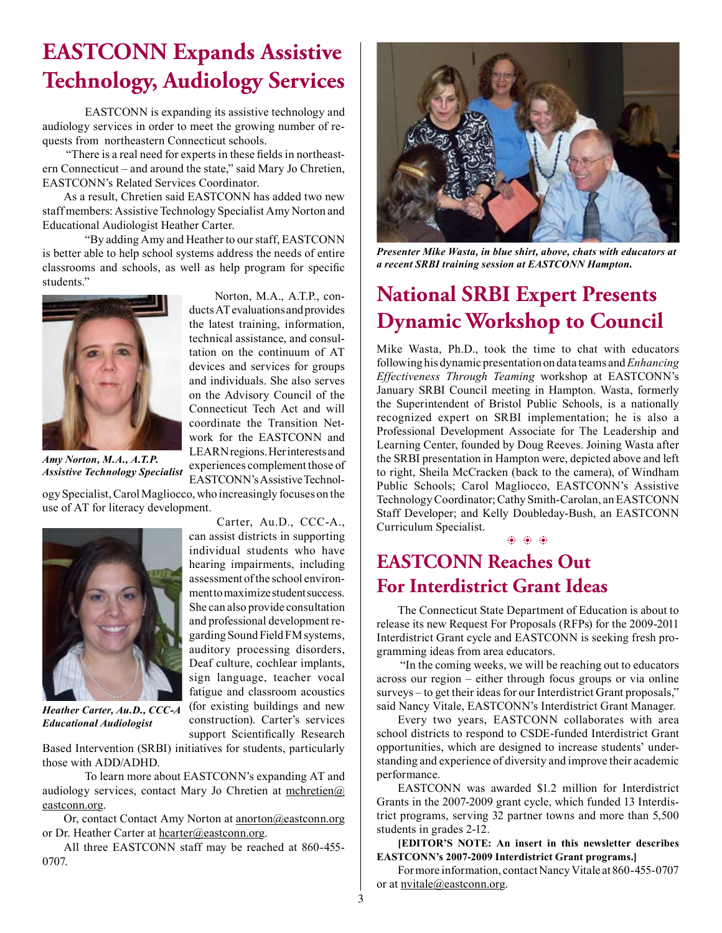# **EASTCONN Expands Assistive Technology, Audiology Services**

EASTCONN is expanding its assistive technology and audiology services in order to meet the growing number of requests from northeastern Connecticut schools.

 "There is a real need for experts in these felds in northeastern Connecticut – and around the state," said Mary Jo Chretien, EASTCONN's Related Services Coordinator.

As a result, Chretien said EASTCONN has added two new staff members: Assistive Technology Specialist Amy Norton and Educational Audiologist Heather Carter.

 "By adding Amy and Heather to our staff, EASTCONN is better able to help school systems address the needs of entire classrooms and schools, as well as help program for specifc students."



*Assistive Technology Specialist*

 Norton, M.A., A.T.P., conducts AT evaluations and provides the latest training, information, technical assistance, and consultation on the continuum of AT devices and services for groups and individuals. She also serves on the Advisory Council of the Connecticut Tech Act and will coordinate the Transition Network for the EASTCONN and LEARN regions. Her interests and experiences complement those of EASTCONN's Assistive Technol-

 Carter, Au.D., CCC-A., can assist districts in supporting individual students who have

assessment of the school environment to maximize student success. She can also provide consultation and professional development regarding Sound Field FM systems, auditory processing disorders, Deaf culture, cochlear implants, sign language, teacher vocal fatigue and classroom acoustics

construction). Carter's services support Scientifcally Research

ogy Specialist, Carol Magliocco, who increasingly focuses on the use of AT for literacy development.



*Heather Carter, Au.D., CCC-A Educational Audiologist*

Based Intervention (SRBI) initiatives for students, particularly those with ADD/ADHD.

To learn more about EASTCONN's expanding AT and audiology services, contact Mary Jo Chretien at  $m$ chretien $@$ eastconn.org.

Or, contact Contact Amy Norton at anorton@eastconn.org or Dr. Heather Carter at hcarter@eastconn.org.

All three EASTCONN staff may be reached at 860-455- 0707.



*Presenter Mike Wasta, in blue shirt, above, chats with educators at a recent SRBI training session at EASTCONN Hampton.*

### **National SRBI Expert Presents Dynamic Workshop to Council**

Mike Wasta, Ph.D., took the time to chat with educators following his dynamic presentation on data teams and *Enhancing Effectiveness Through Teaming* workshop at EASTCONN's January SRBI Council meeting in Hampton. Wasta, formerly the Superintendent of Bristol Public Schools, is a nationally recognized expert on SRBI implementation; he is also a Professional Development Associate for The Leadership and Learning Center, founded by Doug Reeves. Joining Wasta after the SRBI presentation in Hampton were, depicted above and left to right, Sheila McCracken (back to the camera), of Windham Public Schools; Carol Magliocco, EASTCONN's Assistive Technology Coordinator; Cathy Smith-Carolan, an EASTCONN Staff Developer; and Kelly Doubleday-Bush, an EASTCONN Curriculum Specialist.

b b b

### **EASTCONN Reaches Out For Interdistrict Grant Ideas**

The Connecticut State Department of Education is about to release its new Request For Proposals (RFPs) for the 2009-2011 Interdistrict Grant cycle and EASTCONN is seeking fresh programming ideas from area educators.

 "In the coming weeks, we will be reaching out to educators across our region – either through focus groups or via online surveys – to get their ideas for our Interdistrict Grant proposals," said Nancy Vitale, EASTCONN's Interdistrict Grant Manager.

Every two years, EASTCONN collaborates with area school districts to respond to CSDE-funded Interdistrict Grant opportunities, which are designed to increase students' understanding and experience of diversity and improve their academic performance.

EASTCONN was awarded \$1.2 million for Interdistrict Grants in the 2007-2009 grant cycle, which funded 13 Interdistrict programs, serving 32 partner towns and more than 5,500 students in grades 2-12.

 **[EDITOR'S NOTE: An insert in this newsletter describes EASTCONN's 2007-2009 Interdistrict Grant programs.]**

For more information, contact Nancy Vitale at 860-455-0707 or at nvitale@eastconn.org.